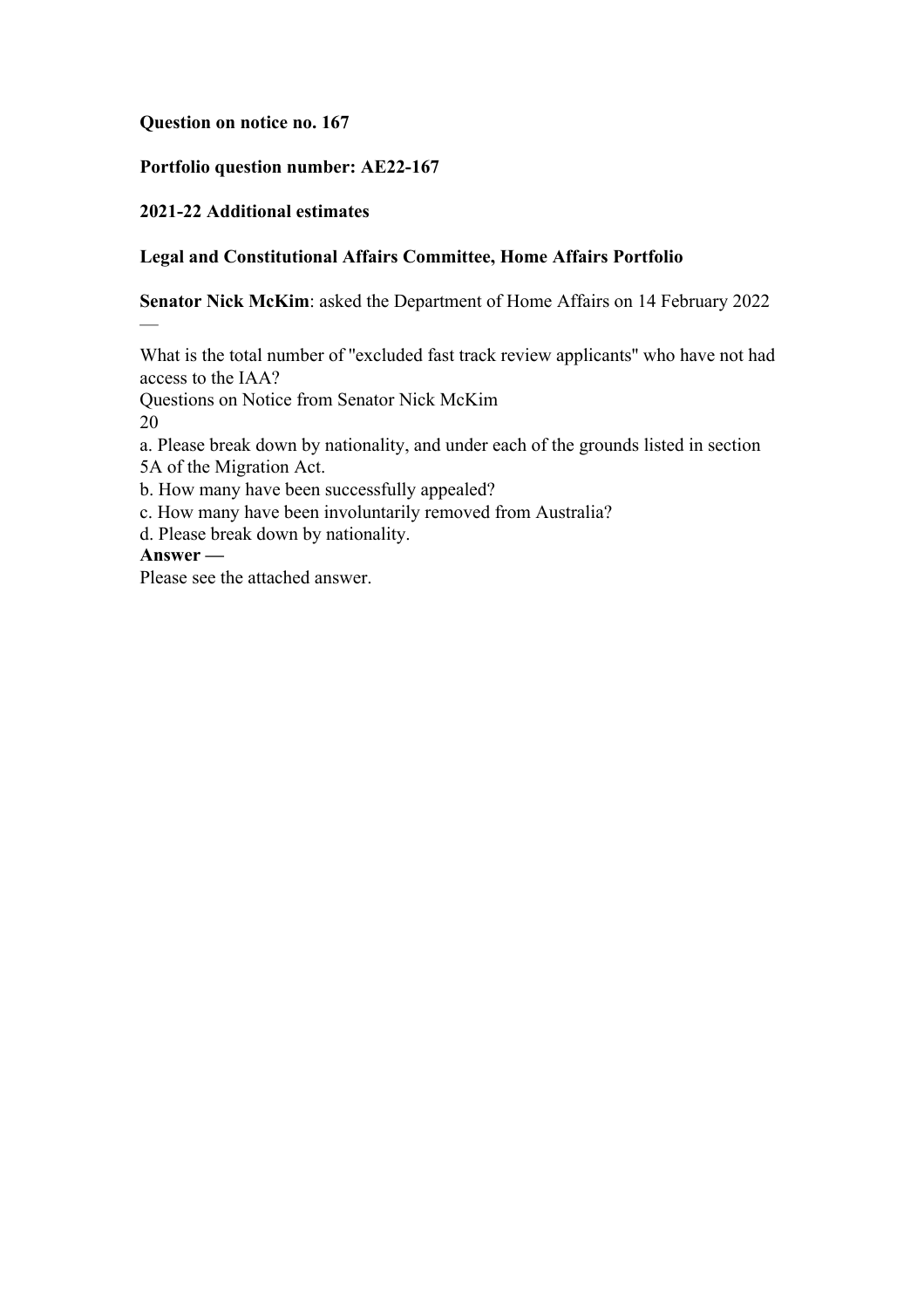# **Question on notice no. 167**

# **Portfolio question number: AE22-167**

# **2021-22 Additional estimates**

# **Legal and Constitutional Affairs Committee, Home Affairs Portfolio**

**Senator Nick McKim**: asked the Department of Home Affairs on 14 February 2022

What is the total number of ''excluded fast track review applicants'' who have not had access to the IAA?

Questions on Notice from Senator Nick McKim

20

—

a. Please break down by nationality, and under each of the grounds listed in section

5A of the Migration Act.

b. How many have been successfully appealed?

c. How many have been involuntarily removed from Australia?

d. Please break down by nationality.

# **Answer —**

Please see the attached answer.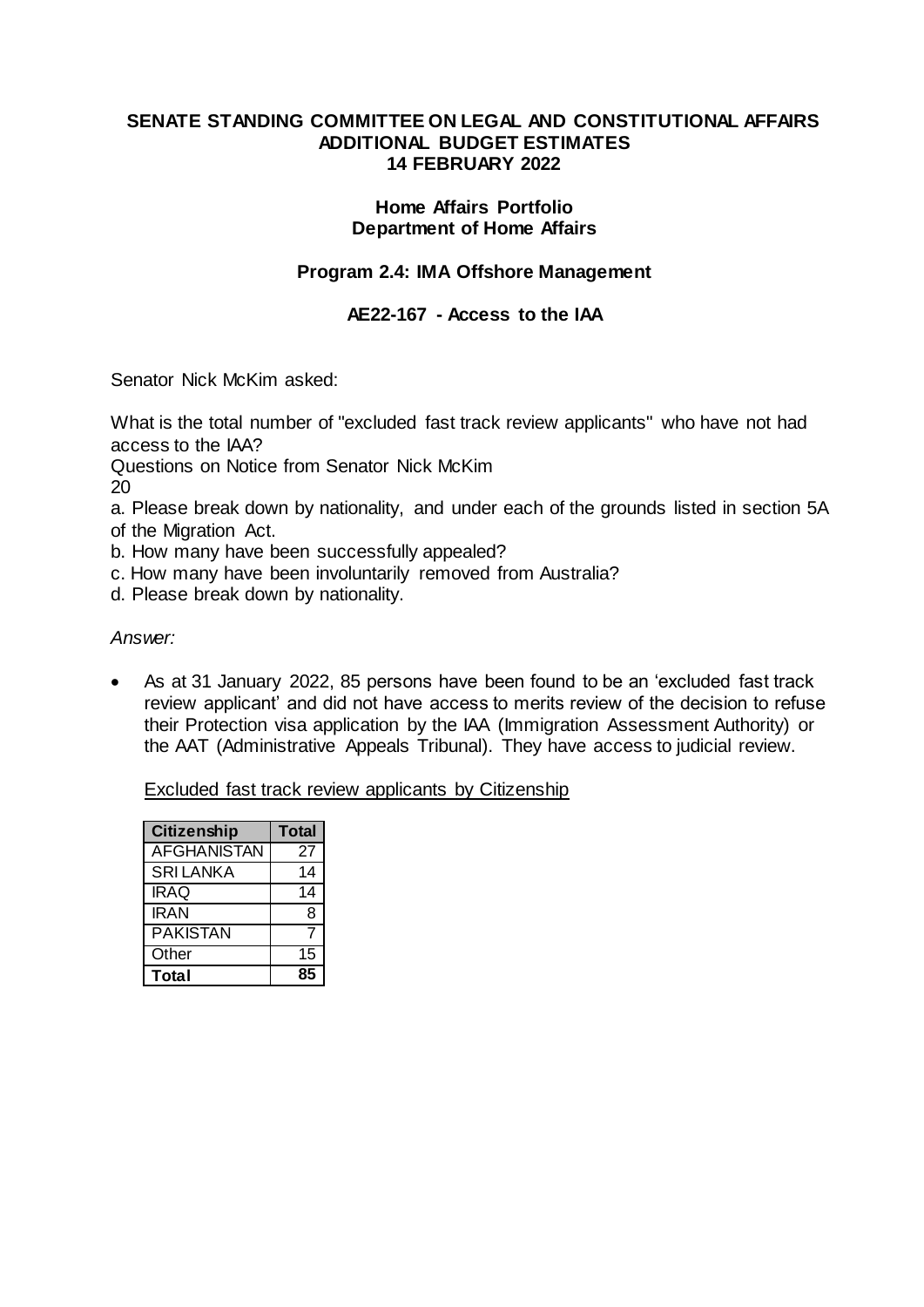### **SENATE STANDING COMMITTEE ON LEGAL AND CONSTITUTIONAL AFFAIRS ADDITIONAL BUDGET ESTIMATES 14 FEBRUARY 2022**

### **Home Affairs Portfolio Department of Home Affairs**

# **Program 2.4: IMA Offshore Management**

# **AE22-167 - Access to the IAA**

Senator Nick McKim asked:

What is the total number of "excluded fast track review applicants" who have not had access to the IAA?

Questions on Notice from Senator Nick McKim

20

a. Please break down by nationality, and under each of the grounds listed in section 5A of the Migration Act.

b. How many have been successfully appealed?

c. How many have been involuntarily removed from Australia?

d. Please break down by nationality.

### *Answer:*

 As at 31 January 2022, 85 persons have been found to be an 'excluded fast track review applicant' and did not have access to merits review of the decision to refuse their Protection visa application by the IAA (Immigration Assessment Authority) or the AAT (Administrative Appeals Tribunal). They have access to judicial review.

Excluded fast track review applicants by Citizenship

| <b>Citizenship</b> | <b>Total</b> |
|--------------------|--------------|
| <b>AFGHANISTAN</b> | 27           |
| <b>SRILANKA</b>    | 14           |
| <b>IRAQ</b>        | 14           |
| <b>IRAN</b>        | 8            |
| <b>PAKISTAN</b>    | 7            |
| Other              | 15           |
| <b>Total</b>       | 85           |